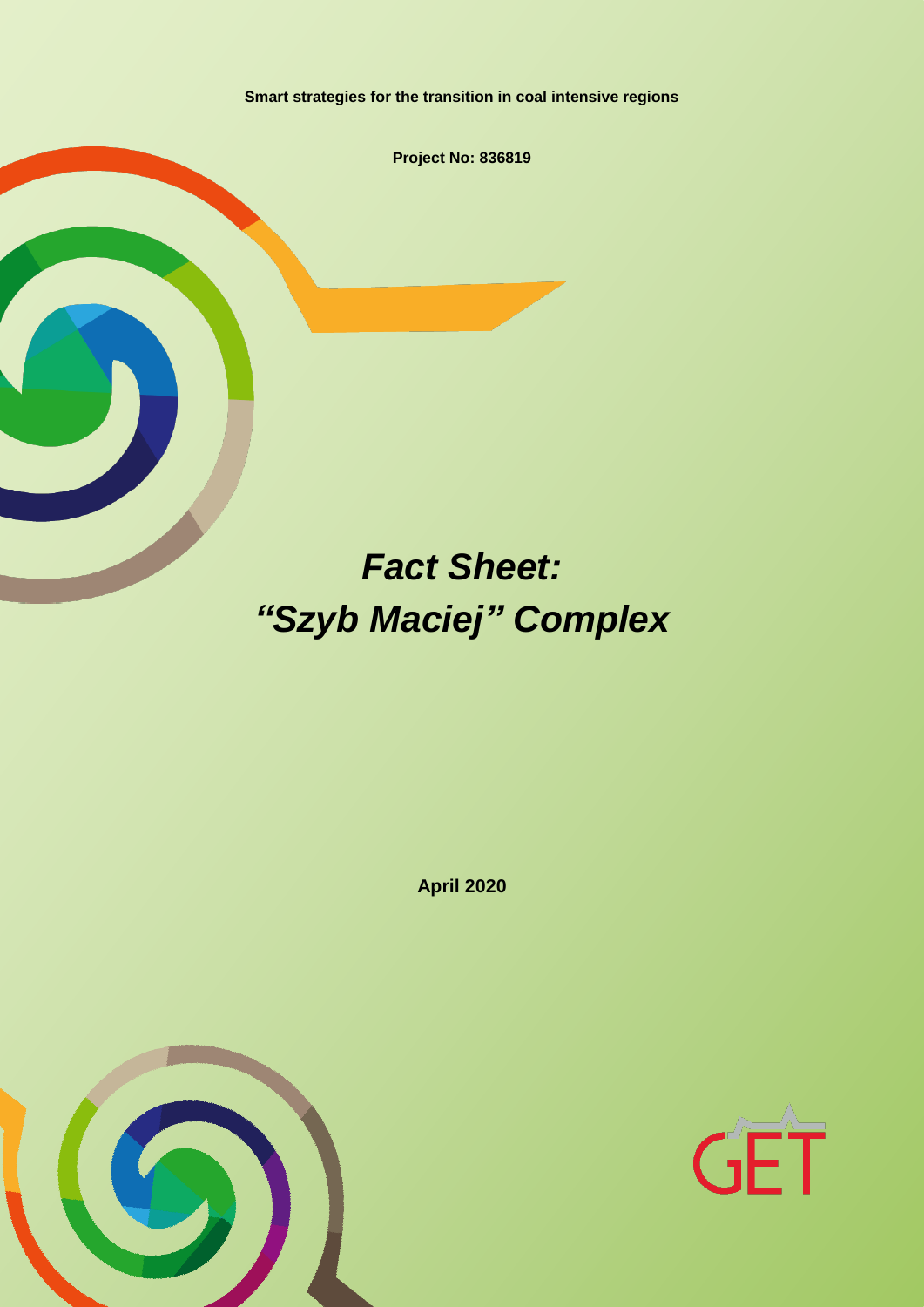**Smart strategies for the transition in coal intensive regions**

**Project No: 836819**

# *Fact Sheet: "Szyb Maciej" Complex*

**April 2020**



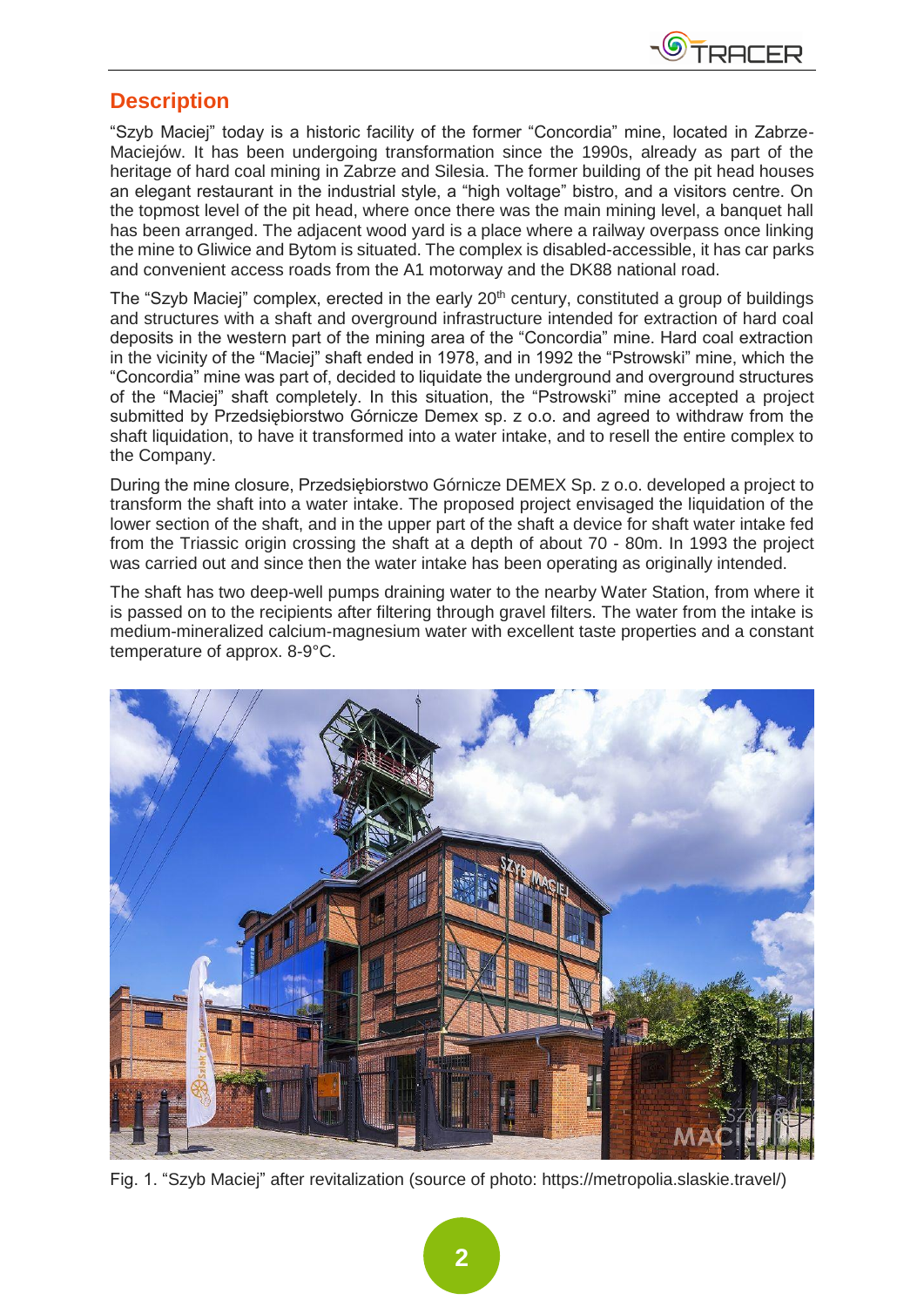

#### **Description**

"Szyb Maciej" today is a historic facility of the former "Concordia" mine, located in Zabrze-Maciejów. It has been undergoing transformation since the 1990s, already as part of the heritage of hard coal mining in Zabrze and Silesia. The former building of the pit head houses an elegant restaurant in the industrial style, a "high voltage" bistro, and a visitors centre. On the topmost level of the pit head, where once there was the main mining level, a banquet hall has been arranged. The adjacent wood yard is a place where a railway overpass once linking the mine to Gliwice and Bytom is situated. The complex is disabled-accessible, it has car parks and convenient access roads from the A1 motorway and the DK88 national road.

The "Szyb Maciej" complex, erected in the early 20<sup>th</sup> century, constituted a group of buildings and structures with a shaft and overground infrastructure intended for extraction of hard coal deposits in the western part of the mining area of the "Concordia" mine. Hard coal extraction in the vicinity of the "Maciej" shaft ended in 1978, and in 1992 the "Pstrowski" mine, which the "Concordia" mine was part of, decided to liquidate the underground and overground structures of the "Maciej" shaft completely. In this situation, the "Pstrowski" mine accepted a project submitted by Przedsiębiorstwo Górnicze Demex sp. z o.o. and agreed to withdraw from the shaft liquidation, to have it transformed into a water intake, and to resell the entire complex to the Company.

During the mine closure, Przedsiębiorstwo Górnicze DEMEX Sp. z o.o. developed a project to transform the shaft into a water intake. The proposed project envisaged the liquidation of the lower section of the shaft, and in the upper part of the shaft a device for shaft water intake fed from the Triassic origin crossing the shaft at a depth of about 70 - 80m. In 1993 the project was carried out and since then the water intake has been operating as originally intended.

The shaft has two deep-well pumps draining water to the nearby Water Station, from where it is passed on to the recipients after filtering through gravel filters. The water from the intake is medium-mineralized calcium-magnesium water with excellent taste properties and a constant temperature of approx. 8-9°C.



Fig. 1. "Szyb Maciej" after revitalization (source of photo: https://metropolia.slaskie.travel/)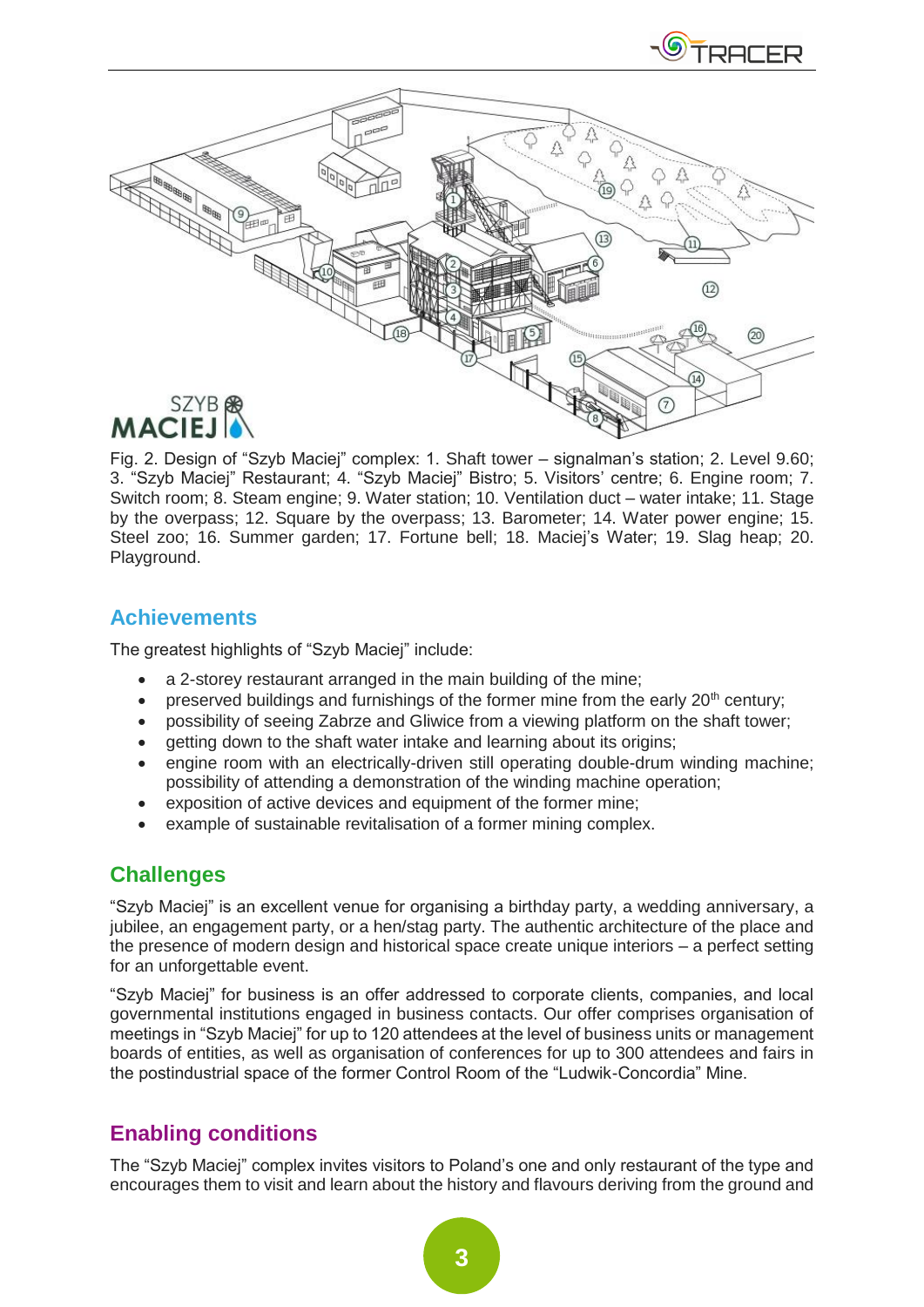

Fig. 2. Design of "Szyb Maciej" complex: 1. Shaft tower – signalman's station; 2. Level 9.60; 3. "Szyb Maciej" Restaurant; 4. "Szyb Maciej" Bistro; 5. Visitors' centre; 6. Engine room; 7. Switch room; 8. Steam engine; 9. Water station; 10. Ventilation duct – water intake; 11. Stage by the overpass; 12. Square by the overpass; 13. Barometer; 14. Water power engine; 15. Steel zoo; 16. Summer garden; 17. Fortune bell; 18. Maciej's Water; 19. Slag heap; 20. Playground.

## **Achievements**

The greatest highlights of "Szyb Maciej" include:

- a 2-storey restaurant arranged in the main building of the mine;
- preserved buildings and furnishings of the former mine from the early  $20<sup>th</sup>$  century;
- possibility of seeing Zabrze and Gliwice from a viewing platform on the shaft tower;
- getting down to the shaft water intake and learning about its origins;
- engine room with an electrically-driven still operating double-drum winding machine; possibility of attending a demonstration of the winding machine operation;
- exposition of active devices and equipment of the former mine;
- example of sustainable revitalisation of a former mining complex.

### **Challenges**

"Szyb Maciej" is an excellent venue for organising a birthday party, a wedding anniversary, a jubilee, an engagement party, or a hen/stag party. The authentic architecture of the place and the presence of modern design and historical space create unique interiors – a perfect setting for an unforgettable event.

"Szyb Maciej" for business is an offer addressed to corporate clients, companies, and local governmental institutions engaged in business contacts. Our offer comprises organisation of meetings in "Szyb Maciej" for up to 120 attendees at the level of business units or management boards of entities, as well as organisation of conferences for up to 300 attendees and fairs in the postindustrial space of the former Control Room of the "Ludwik-Concordia" Mine.

# **Enabling conditions**

The "Szyb Maciej" complex invites visitors to Poland's one and only restaurant of the type and encourages them to visit and learn about the history and flavours deriving from the ground and

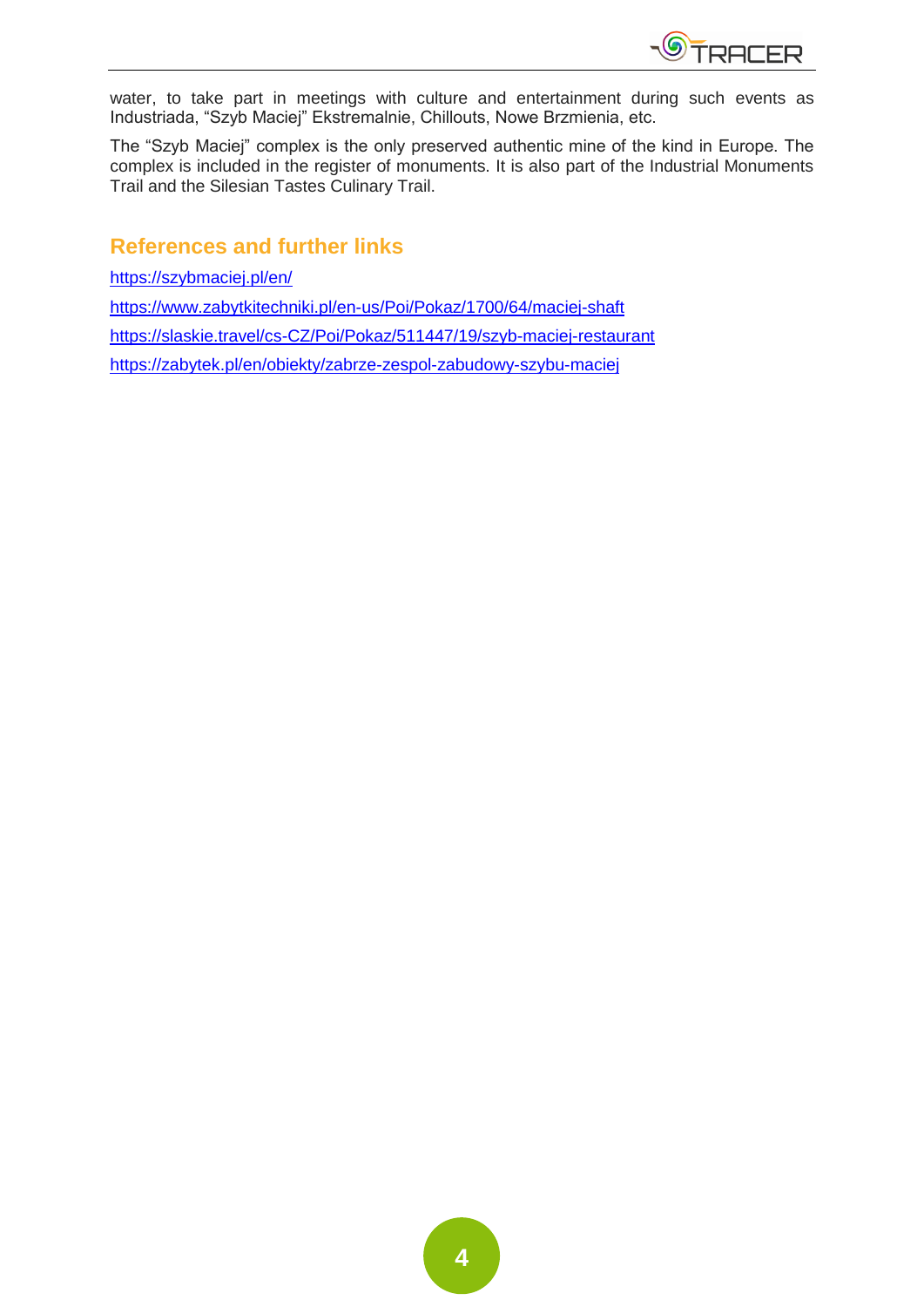

water, to take part in meetings with culture and entertainment during such events as Industriada, "Szyb Maciej" Ekstremalnie, Chillouts, Nowe Brzmienia, etc.

The "Szyb Maciej" complex is the only preserved authentic mine of the kind in Europe. The complex is included in the register of monuments. It is also part of the Industrial Monuments Trail and the Silesian Tastes Culinary Trail.

### **References and further links**

<https://szybmaciej.pl/en/>

<https://www.zabytkitechniki.pl/en-us/Poi/Pokaz/1700/64/maciej-shaft>

<https://slaskie.travel/cs-CZ/Poi/Pokaz/511447/19/szyb-maciej-restaurant>

<https://zabytek.pl/en/obiekty/zabrze-zespol-zabudowy-szybu-maciej>